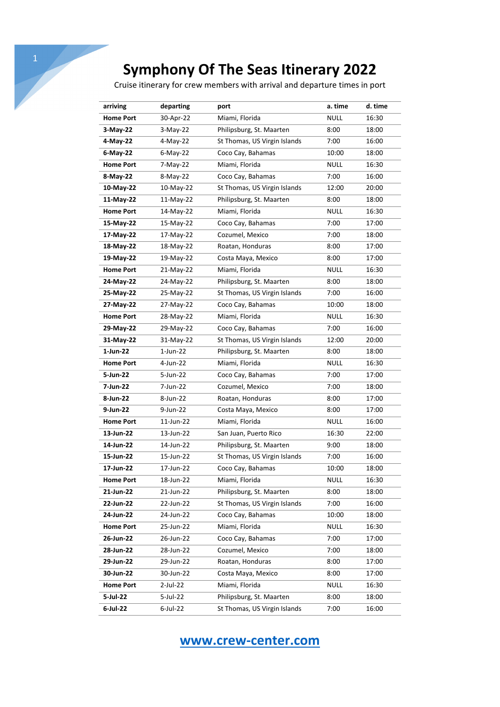Cruise itinerary for crew members with arrival and departure times in port

| arriving         | departing   | port                         | a. time     | d. time |
|------------------|-------------|------------------------------|-------------|---------|
| <b>Home Port</b> | 30-Apr-22   | Miami, Florida               | <b>NULL</b> | 16:30   |
| $3-May-22$       | $3-May-22$  | Philipsburg, St. Maarten     | 8:00        | 18:00   |
| 4-May-22         | 4-May-22    | St Thomas, US Virgin Islands | 7:00        | 16:00   |
| $6$ -May-22      | $6$ -May-22 | Coco Cay, Bahamas            | 10:00       | 18:00   |
| <b>Home Port</b> | 7-May-22    | Miami, Florida               | <b>NULL</b> | 16:30   |
| 8-May-22         | 8-May-22    | Coco Cay, Bahamas            | 7:00        | 16:00   |
| 10-May-22        | 10-May-22   | St Thomas, US Virgin Islands | 12:00       | 20:00   |
| 11-May-22        | 11-May-22   | Philipsburg, St. Maarten     | 8:00        | 18:00   |
| <b>Home Port</b> | 14-May-22   | Miami, Florida               | <b>NULL</b> | 16:30   |
| 15-May-22        | 15-May-22   | Coco Cay, Bahamas            | 7:00        | 17:00   |
| 17-May-22        | 17-May-22   | Cozumel, Mexico              | 7:00        | 18:00   |
| 18-May-22        | 18-May-22   | Roatan, Honduras             | 8:00        | 17:00   |
| 19-May-22        | 19-May-22   | Costa Maya, Mexico           | 8:00        | 17:00   |
| <b>Home Port</b> | 21-May-22   | Miami, Florida               | <b>NULL</b> | 16:30   |
| 24-May-22        | 24-May-22   | Philipsburg, St. Maarten     | 8:00        | 18:00   |
| 25-May-22        | 25-May-22   | St Thomas, US Virgin Islands | 7:00        | 16:00   |
| 27-May-22        | 27-May-22   | Coco Cay, Bahamas            | 10:00       | 18:00   |
| <b>Home Port</b> | 28-May-22   | Miami, Florida               | <b>NULL</b> | 16:30   |
| 29-May-22        | 29-May-22   | Coco Cay, Bahamas            | 7:00        | 16:00   |
| 31-May-22        | 31-May-22   | St Thomas, US Virgin Islands | 12:00       | 20:00   |
| 1-Jun-22         | $1$ -Jun-22 | Philipsburg, St. Maarten     | 8:00        | 18:00   |
| <b>Home Port</b> | 4-Jun-22    | Miami, Florida               | <b>NULL</b> | 16:30   |
| 5-Jun-22         | 5-Jun-22    | Coco Cay, Bahamas            | 7:00        | 17:00   |
| 7-Jun-22         | 7-Jun-22    | Cozumel, Mexico              | 7:00        | 18:00   |
| 8-Jun-22         | 8-Jun-22    | Roatan, Honduras             | 8:00        | 17:00   |
| 9-Jun-22         | 9-Jun-22    | Costa Maya, Mexico           | 8:00        | 17:00   |
| <b>Home Port</b> | 11-Jun-22   | Miami, Florida               | <b>NULL</b> | 16:00   |
| 13-Jun-22        | 13-Jun-22   | San Juan, Puerto Rico        | 16:30       | 22:00   |
| 14-Jun-22        | 14-Jun-22   | Philipsburg, St. Maarten     | 9:00        | 18:00   |
| 15-Jun-22        | 15-Jun-22   | St Thomas, US Virgin Islands | 7:00        | 16:00   |
| 17-Jun-22        | 17-Jun-22   | Coco Cay, Bahamas            | 10:00       | 18:00   |
| <b>Home Port</b> | 18-Jun-22   | Miami, Florida               | <b>NULL</b> | 16:30   |
| 21-Jun-22        | 21-Jun-22   | Philipsburg, St. Maarten     | 8:00        | 18:00   |
| 22-Jun-22        | 22-Jun-22   | St Thomas, US Virgin Islands | 7:00        | 16:00   |
| 24-Jun-22        | 24-Jun-22   | Coco Cay, Bahamas            | 10:00       | 18:00   |
| <b>Home Port</b> | 25-Jun-22   | Miami, Florida               | <b>NULL</b> | 16:30   |
| 26-Jun-22        | 26-Jun-22   | Coco Cay, Bahamas            | 7:00        | 17:00   |
| 28-Jun-22        | 28-Jun-22   | Cozumel, Mexico              | 7:00        | 18:00   |
| 29-Jun-22        | 29-Jun-22   | Roatan, Honduras             | 8:00        | 17:00   |
| 30-Jun-22        | 30-Jun-22   | Costa Maya, Mexico           | 8:00        | 17:00   |
| <b>Home Port</b> | 2-Jul-22    | Miami, Florida               | <b>NULL</b> | 16:30   |
| 5-Jul-22         | 5-Jul-22    | Philipsburg, St. Maarten     | 8:00        | 18:00   |
| 6-Jul-22         | 6-Jul-22    | St Thomas, US Virgin Islands | 7:00        | 16:00   |

## **www.crew-center.com**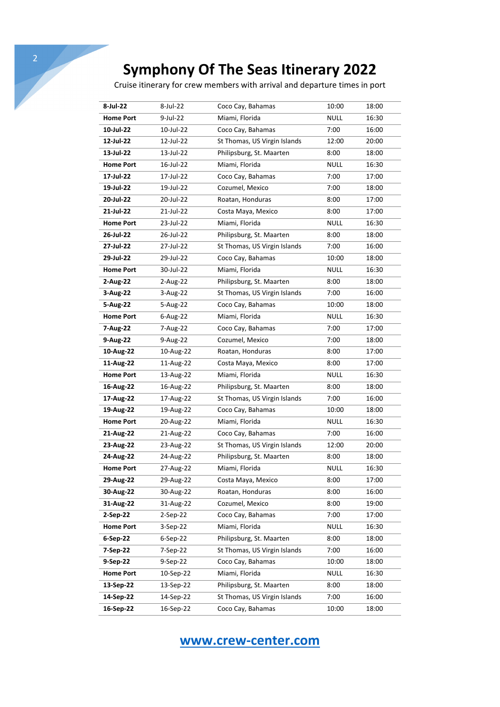Cruise itinerary for crew members with arrival and departure times in port

| 8-Jul-22         | 8-Jul-22   | Coco Cay, Bahamas            | 10:00       | 18:00 |
|------------------|------------|------------------------------|-------------|-------|
| <b>Home Port</b> | 9-Jul-22   | Miami, Florida               | <b>NULL</b> | 16:30 |
| 10-Jul-22        | 10-Jul-22  | Coco Cay, Bahamas            | 7:00        | 16:00 |
| 12-Jul-22        | 12-Jul-22  | St Thomas, US Virgin Islands | 12:00       | 20:00 |
| 13-Jul-22        | 13-Jul-22  | Philipsburg, St. Maarten     | 8:00        | 18:00 |
| <b>Home Port</b> | 16-Jul-22  | Miami, Florida               | <b>NULL</b> | 16:30 |
| 17-Jul-22        | 17-Jul-22  | Coco Cay, Bahamas            | 7:00        | 17:00 |
| 19-Jul-22        | 19-Jul-22  | Cozumel, Mexico              | 7:00        | 18:00 |
| 20-Jul-22        | 20-Jul-22  | Roatan, Honduras             | 8:00        | 17:00 |
| 21-Jul-22        | 21-Jul-22  | Costa Maya, Mexico           | 8:00        | 17:00 |
| <b>Home Port</b> | 23-Jul-22  | Miami, Florida               | <b>NULL</b> | 16:30 |
| 26-Jul-22        | 26-Jul-22  | Philipsburg, St. Maarten     | 8:00        | 18:00 |
| 27-Jul-22        | 27-Jul-22  | St Thomas, US Virgin Islands | 7:00        | 16:00 |
| 29-Jul-22        | 29-Jul-22  | Coco Cay, Bahamas            | 10:00       | 18:00 |
| <b>Home Port</b> | 30-Jul-22  | Miami, Florida               | <b>NULL</b> | 16:30 |
| 2-Aug-22         | 2-Aug-22   | Philipsburg, St. Maarten     | 8:00        | 18:00 |
| 3-Aug-22         | 3-Aug-22   | St Thomas, US Virgin Islands | 7:00        | 16:00 |
| 5-Aug-22         | 5-Aug-22   | Coco Cay, Bahamas            | 10:00       | 18:00 |
| <b>Home Port</b> | 6-Aug-22   | Miami, Florida               | <b>NULL</b> | 16:30 |
| 7-Aug-22         | 7-Aug-22   | Coco Cay, Bahamas            | 7:00        | 17:00 |
| 9-Aug-22         | 9-Aug-22   | Cozumel, Mexico              | 7:00        | 18:00 |
| 10-Aug-22        | 10-Aug-22  | Roatan, Honduras             | 8:00        | 17:00 |
| 11-Aug-22        | 11-Aug-22  | Costa Maya, Mexico           | 8:00        | 17:00 |
| <b>Home Port</b> | 13-Aug-22  | Miami, Florida               | <b>NULL</b> | 16:30 |
| 16-Aug-22        | 16-Aug-22  | Philipsburg, St. Maarten     | 8:00        | 18:00 |
| 17-Aug-22        | 17-Aug-22  | St Thomas, US Virgin Islands | 7:00        | 16:00 |
| 19-Aug-22        | 19-Aug-22  | Coco Cay, Bahamas            | 10:00       | 18:00 |
| <b>Home Port</b> | 20-Aug-22  | Miami, Florida               | <b>NULL</b> | 16:30 |
| 21-Aug-22        | 21-Aug-22  | Coco Cay, Bahamas            | 7:00        | 16:00 |
| 23-Aug-22        | 23-Aug-22  | St Thomas, US Virgin Islands | 12:00       | 20:00 |
| 24-Aug-22        | 24-Aug-22  | Philipsburg, St. Maarten     | 8:00        | 18:00 |
| <b>Home Port</b> | 27-Aug-22  | Miami, Florida               | NULL        | 16:30 |
| 29-Aug-22        | 29-Aug-22  | Costa Maya, Mexico           | 8:00        | 17:00 |
| 30-Aug-22        | 30-Aug-22  | Roatan, Honduras             | 8:00        | 16:00 |
| 31-Aug-22        | 31-Aug-22  | Cozumel, Mexico              | 8:00        | 19:00 |
| 2-Sep-22         | 2-Sep-22   | Coco Cay, Bahamas            | 7:00        | 17:00 |
| <b>Home Port</b> | 3-Sep-22   | Miami, Florida               | <b>NULL</b> | 16:30 |
| 6-Sep-22         | $6-Sep-22$ | Philipsburg, St. Maarten     | 8:00        | 18:00 |
| 7-Sep-22         | 7-Sep-22   | St Thomas, US Virgin Islands | 7:00        | 16:00 |
| 9-Sep-22         | 9-Sep-22   | Coco Cay, Bahamas            | 10:00       | 18:00 |
| <b>Home Port</b> | 10-Sep-22  | Miami, Florida               | <b>NULL</b> | 16:30 |
| 13-Sep-22        | 13-Sep-22  | Philipsburg, St. Maarten     | 8:00        | 18:00 |
| 14-Sep-22        | 14-Sep-22  | St Thomas, US Virgin Islands | 7:00        | 16:00 |
| 16-Sep-22        | 16-Sep-22  | Coco Cay, Bahamas            | 10:00       | 18:00 |

## **www.crew-center.com**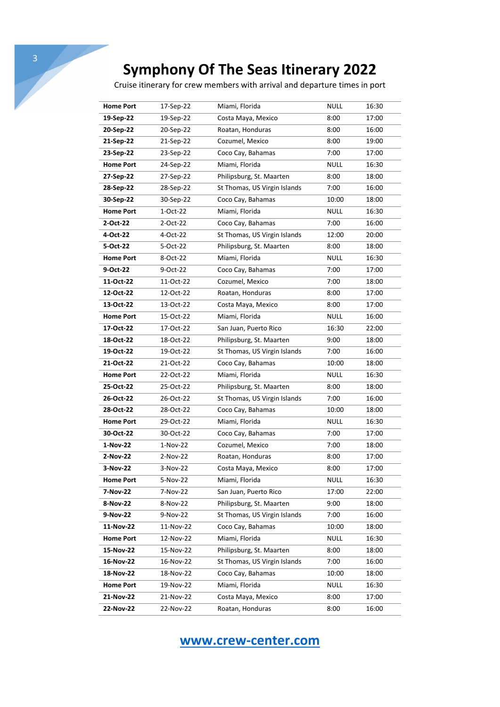Cruise itinerary for crew members with arrival and departure times in port

| <b>Home Port</b> | 17-Sep-22  | Miami, Florida               | <b>NULL</b> | 16:30 |
|------------------|------------|------------------------------|-------------|-------|
| 19-Sep-22        | 19-Sep-22  | Costa Maya, Mexico           | 8:00        | 17:00 |
| 20-Sep-22        | 20-Sep-22  | Roatan, Honduras             | 8:00        | 16:00 |
| 21-Sep-22        | 21-Sep-22  | Cozumel, Mexico              | 8:00        | 19:00 |
| 23-Sep-22        | 23-Sep-22  | Coco Cay, Bahamas            | 7:00        | 17:00 |
| <b>Home Port</b> | 24-Sep-22  | Miami, Florida               | <b>NULL</b> | 16:30 |
| 27-Sep-22        | 27-Sep-22  | Philipsburg, St. Maarten     | 8:00        | 18:00 |
| 28-Sep-22        | 28-Sep-22  | St Thomas, US Virgin Islands | 7:00        | 16:00 |
| 30-Sep-22        | 30-Sep-22  | Coco Cay, Bahamas            | 10:00       | 18:00 |
| <b>Home Port</b> | 1-Oct-22   | Miami, Florida               | <b>NULL</b> | 16:30 |
| 2-Oct-22         | 2-Oct-22   | Coco Cay, Bahamas            | 7:00        | 16:00 |
| 4-Oct-22         | 4-Oct-22   | St Thomas, US Virgin Islands | 12:00       | 20:00 |
| 5-Oct-22         | 5-Oct-22   | Philipsburg, St. Maarten     | 8:00        | 18:00 |
| <b>Home Port</b> | 8-Oct-22   | Miami, Florida               | <b>NULL</b> | 16:30 |
| 9-Oct-22         | 9-Oct-22   | Coco Cay, Bahamas            | 7:00        | 17:00 |
| 11-Oct-22        | 11-Oct-22  | Cozumel, Mexico              | 7:00        | 18:00 |
| 12-Oct-22        | 12-Oct-22  | Roatan, Honduras             | 8:00        | 17:00 |
| 13-Oct-22        | 13-Oct-22  | Costa Maya, Mexico           | 8:00        | 17:00 |
| <b>Home Port</b> | 15-Oct-22  | Miami, Florida               | <b>NULL</b> | 16:00 |
| 17-Oct-22        | 17-Oct-22  | San Juan, Puerto Rico        | 16:30       | 22:00 |
| 18-Oct-22        | 18-Oct-22  | Philipsburg, St. Maarten     | 9:00        | 18:00 |
| 19-Oct-22        | 19-Oct-22  | St Thomas, US Virgin Islands | 7:00        | 16:00 |
| 21-Oct-22        | 21-Oct-22  | Coco Cay, Bahamas            | 10:00       | 18:00 |
| <b>Home Port</b> | 22-Oct-22  | Miami, Florida               | <b>NULL</b> | 16:30 |
| 25-Oct-22        | 25-Oct-22  | Philipsburg, St. Maarten     | 8:00        | 18:00 |
| 26-Oct-22        | 26-Oct-22  | St Thomas, US Virgin Islands | 7:00        | 16:00 |
| 28-Oct-22        | 28-Oct-22  | Coco Cay, Bahamas            | 10:00       | 18:00 |
| <b>Home Port</b> | 29-Oct-22  | Miami, Florida               | <b>NULL</b> | 16:30 |
| 30-Oct-22        | 30-Oct-22  | Coco Cay, Bahamas            | 7:00        | 17:00 |
| 1-Nov-22         | $1-Nov-22$ | Cozumel, Mexico              | 7:00        | 18:00 |
| 2-Nov-22         | $2-Nov-22$ | Roatan, Honduras             | 8:00        | 17:00 |
| 3-Nov-22         | 3-Nov-22   | Costa Maya, Mexico           | 8:00        | 17:00 |
| <b>Home Port</b> | 5-Nov-22   | Miami, Florida               | <b>NULL</b> | 16:30 |
| 7-Nov-22         | 7-Nov-22   | San Juan, Puerto Rico        | 17:00       | 22:00 |
| 8-Nov-22         | 8-Nov-22   | Philipsburg, St. Maarten     | 9:00        | 18:00 |
| 9-Nov-22         | 9-Nov-22   | St Thomas, US Virgin Islands | 7:00        | 16:00 |
| 11-Nov-22        | 11-Nov-22  | Coco Cay, Bahamas            | 10:00       | 18:00 |
| <b>Home Port</b> | 12-Nov-22  | Miami, Florida               | <b>NULL</b> | 16:30 |
| 15-Nov-22        | 15-Nov-22  | Philipsburg, St. Maarten     | 8:00        | 18:00 |
| 16-Nov-22        | 16-Nov-22  | St Thomas, US Virgin Islands | 7:00        | 16:00 |
| 18-Nov-22        | 18-Nov-22  | Coco Cay, Bahamas            | 10:00       | 18:00 |
| <b>Home Port</b> | 19-Nov-22  | Miami, Florida               | <b>NULL</b> | 16:30 |
| 21-Nov-22        | 21-Nov-22  | Costa Maya, Mexico           | 8:00        | 17:00 |
| 22-Nov-22        | 22-Nov-22  | Roatan, Honduras             | 8:00        | 16:00 |

## **www.crew-center.com**